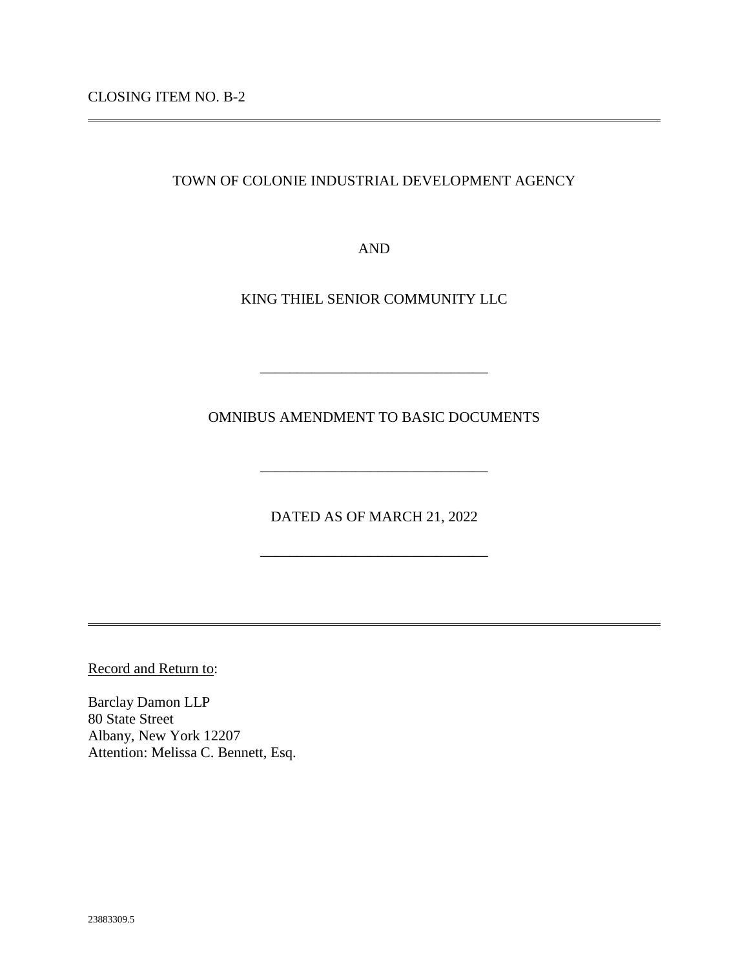CLOSING ITEM NO. B-2

TOWN OF COLONIE INDUSTRIAL DEVELOPMENT AGENCY

AND

KING THIEL SENIOR COMMUNITY LLC

OMNIBUS AMENDMENT TO BASIC DOCUMENTS

\_\_\_\_\_\_\_\_\_\_\_\_\_\_\_\_\_\_\_\_\_\_\_\_\_\_\_\_\_\_\_

DATED AS OF MARCH 21, 2022

\_\_\_\_\_\_\_\_\_\_\_\_\_\_\_\_\_\_\_\_\_\_\_\_\_\_\_\_\_\_\_

\_\_\_\_\_\_\_\_\_\_\_\_\_\_\_\_\_\_\_\_\_\_\_\_\_\_\_\_\_\_\_

Record and Return to:

Barclay Damon LLP 80 State Street Albany, New York 12207 Attention: Melissa C. Bennett, Esq.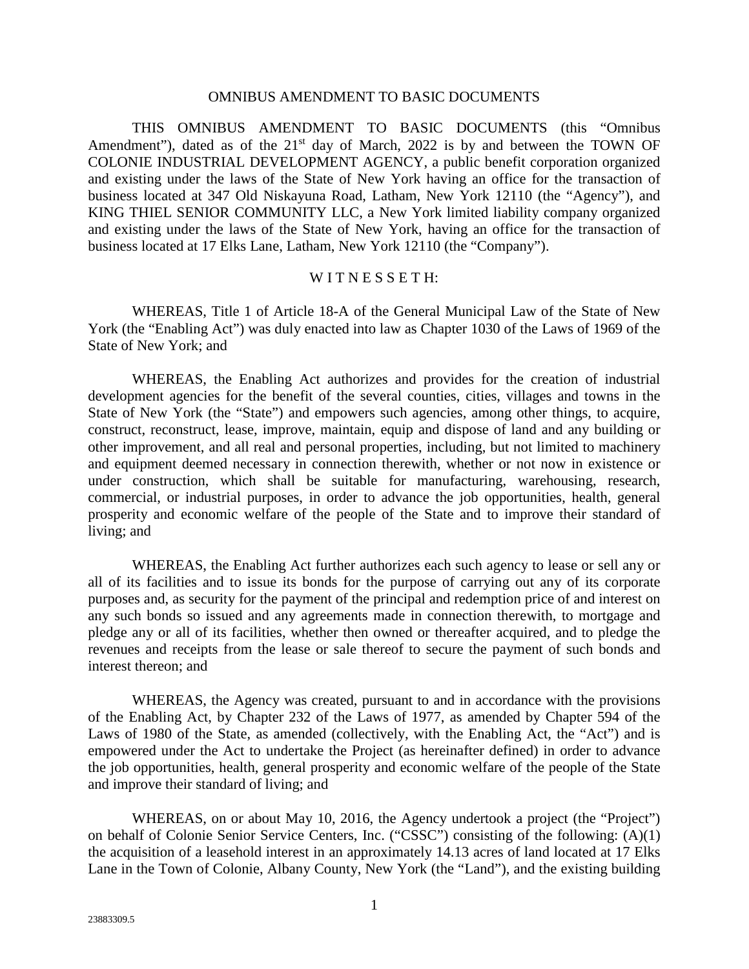#### OMNIBUS AMENDMENT TO BASIC DOCUMENTS

THIS OMNIBUS AMENDMENT TO BASIC DOCUMENTS (this "Omnibus Amendment"), dated as of the  $21<sup>st</sup>$  day of March, 2022 is by and between the TOWN OF COLONIE INDUSTRIAL DEVELOPMENT AGENCY, a public benefit corporation organized and existing under the laws of the State of New York having an office for the transaction of business located at 347 Old Niskayuna Road, Latham, New York 12110 (the "Agency"), and KING THIEL SENIOR COMMUNITY LLC, a New York limited liability company organized and existing under the laws of the State of New York, having an office for the transaction of business located at 17 Elks Lane, Latham, New York 12110 (the "Company").

### WITNESSETH:

WHEREAS, Title 1 of Article 18-A of the General Municipal Law of the State of New York (the "Enabling Act") was duly enacted into law as Chapter 1030 of the Laws of 1969 of the State of New York; and

WHEREAS, the Enabling Act authorizes and provides for the creation of industrial development agencies for the benefit of the several counties, cities, villages and towns in the State of New York (the "State") and empowers such agencies, among other things, to acquire, construct, reconstruct, lease, improve, maintain, equip and dispose of land and any building or other improvement, and all real and personal properties, including, but not limited to machinery and equipment deemed necessary in connection therewith, whether or not now in existence or under construction, which shall be suitable for manufacturing, warehousing, research, commercial, or industrial purposes, in order to advance the job opportunities, health, general prosperity and economic welfare of the people of the State and to improve their standard of living; and

WHEREAS, the Enabling Act further authorizes each such agency to lease or sell any or all of its facilities and to issue its bonds for the purpose of carrying out any of its corporate purposes and, as security for the payment of the principal and redemption price of and interest on any such bonds so issued and any agreements made in connection therewith, to mortgage and pledge any or all of its facilities, whether then owned or thereafter acquired, and to pledge the revenues and receipts from the lease or sale thereof to secure the payment of such bonds and interest thereon; and

WHEREAS, the Agency was created, pursuant to and in accordance with the provisions of the Enabling Act, by Chapter 232 of the Laws of 1977, as amended by Chapter 594 of the Laws of 1980 of the State, as amended (collectively, with the Enabling Act, the "Act") and is empowered under the Act to undertake the Project (as hereinafter defined) in order to advance the job opportunities, health, general prosperity and economic welfare of the people of the State and improve their standard of living; and

WHEREAS, on or about May 10, 2016, the Agency undertook a project (the "Project") on behalf of Colonie Senior Service Centers, Inc. ("CSSC") consisting of the following: (A)(1) the acquisition of a leasehold interest in an approximately 14.13 acres of land located at 17 Elks Lane in the Town of Colonie, Albany County, New York (the "Land"), and the existing building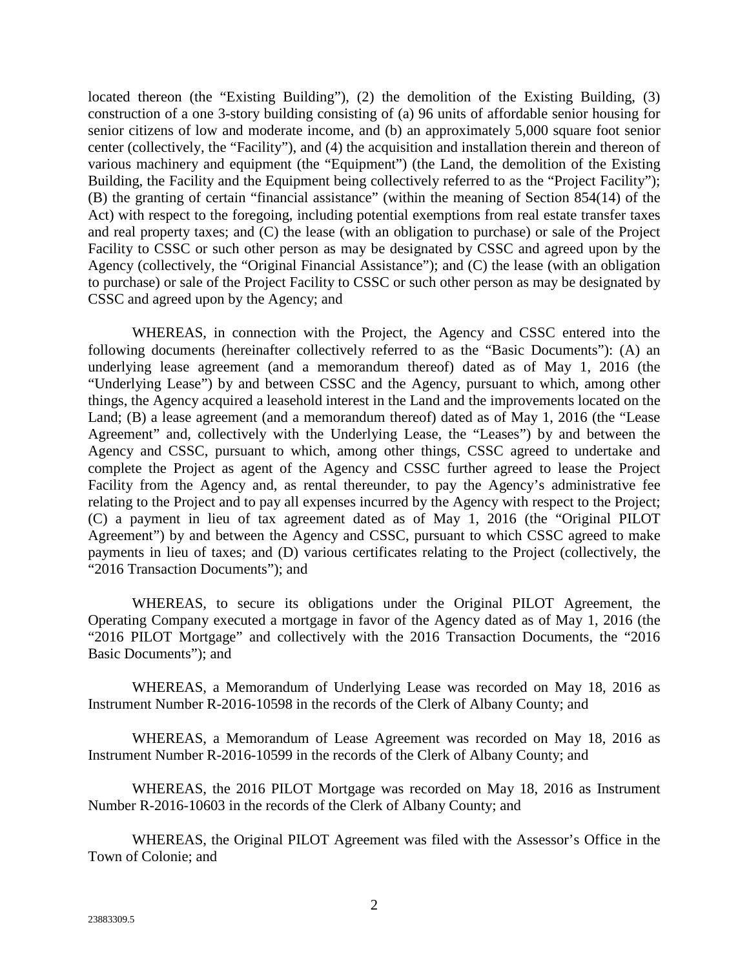located thereon (the "Existing Building"), (2) the demolition of the Existing Building, (3) construction of a one 3-story building consisting of (a) 96 units of affordable senior housing for senior citizens of low and moderate income, and (b) an approximately 5,000 square foot senior center (collectively, the "Facility"), and (4) the acquisition and installation therein and thereon of various machinery and equipment (the "Equipment") (the Land, the demolition of the Existing Building, the Facility and the Equipment being collectively referred to as the "Project Facility"); (B) the granting of certain "financial assistance" (within the meaning of Section 854(14) of the Act) with respect to the foregoing, including potential exemptions from real estate transfer taxes and real property taxes; and (C) the lease (with an obligation to purchase) or sale of the Project Facility to CSSC or such other person as may be designated by CSSC and agreed upon by the Agency (collectively, the "Original Financial Assistance"); and (C) the lease (with an obligation to purchase) or sale of the Project Facility to CSSC or such other person as may be designated by CSSC and agreed upon by the Agency; and

WHEREAS, in connection with the Project, the Agency and CSSC entered into the following documents (hereinafter collectively referred to as the "Basic Documents"): (A) an underlying lease agreement (and a memorandum thereof) dated as of May 1, 2016 (the "Underlying Lease") by and between CSSC and the Agency, pursuant to which, among other things, the Agency acquired a leasehold interest in the Land and the improvements located on the Land; (B) a lease agreement (and a memorandum thereof) dated as of May 1, 2016 (the "Lease Agreement" and, collectively with the Underlying Lease, the "Leases") by and between the Agency and CSSC, pursuant to which, among other things, CSSC agreed to undertake and complete the Project as agent of the Agency and CSSC further agreed to lease the Project Facility from the Agency and, as rental thereunder, to pay the Agency's administrative fee relating to the Project and to pay all expenses incurred by the Agency with respect to the Project; (C) a payment in lieu of tax agreement dated as of May 1, 2016 (the "Original PILOT Agreement") by and between the Agency and CSSC, pursuant to which CSSC agreed to make payments in lieu of taxes; and (D) various certificates relating to the Project (collectively, the "2016 Transaction Documents"); and

WHEREAS, to secure its obligations under the Original PILOT Agreement, the Operating Company executed a mortgage in favor of the Agency dated as of May 1, 2016 (the "2016 PILOT Mortgage" and collectively with the 2016 Transaction Documents, the "2016 Basic Documents"); and

WHEREAS, a Memorandum of Underlying Lease was recorded on May 18, 2016 as Instrument Number R-2016-10598 in the records of the Clerk of Albany County; and

WHEREAS, a Memorandum of Lease Agreement was recorded on May 18, 2016 as Instrument Number R-2016-10599 in the records of the Clerk of Albany County; and

WHEREAS, the 2016 PILOT Mortgage was recorded on May 18, 2016 as Instrument Number R-2016-10603 in the records of the Clerk of Albany County; and

WHEREAS, the Original PILOT Agreement was filed with the Assessor's Office in the Town of Colonie; and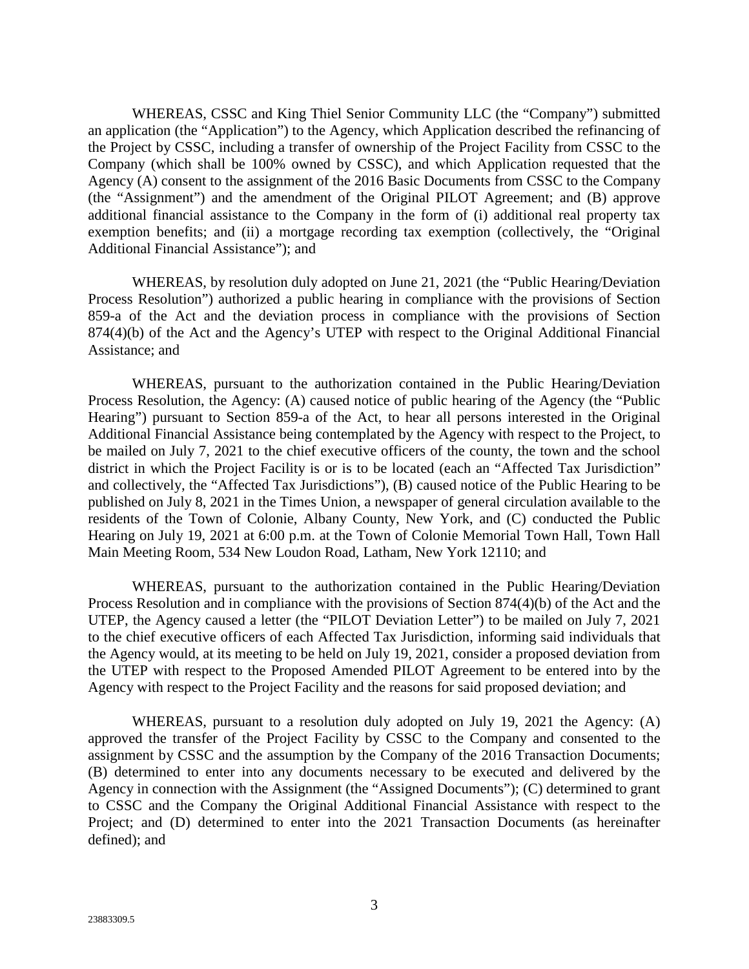WHEREAS, CSSC and King Thiel Senior Community LLC (the "Company") submitted an application (the "Application") to the Agency, which Application described the refinancing of the Project by CSSC, including a transfer of ownership of the Project Facility from CSSC to the Company (which shall be 100% owned by CSSC), and which Application requested that the Agency (A) consent to the assignment of the 2016 Basic Documents from CSSC to the Company (the "Assignment") and the amendment of the Original PILOT Agreement; and (B) approve additional financial assistance to the Company in the form of (i) additional real property tax exemption benefits; and (ii) a mortgage recording tax exemption (collectively, the "Original Additional Financial Assistance"); and

WHEREAS, by resolution duly adopted on June 21, 2021 (the "Public Hearing/Deviation Process Resolution") authorized a public hearing in compliance with the provisions of Section 859-a of the Act and the deviation process in compliance with the provisions of Section 874(4)(b) of the Act and the Agency's UTEP with respect to the Original Additional Financial Assistance; and

WHEREAS, pursuant to the authorization contained in the Public Hearing/Deviation Process Resolution, the Agency: (A) caused notice of public hearing of the Agency (the "Public Hearing") pursuant to Section 859-a of the Act, to hear all persons interested in the Original Additional Financial Assistance being contemplated by the Agency with respect to the Project, to be mailed on July 7, 2021 to the chief executive officers of the county, the town and the school district in which the Project Facility is or is to be located (each an "Affected Tax Jurisdiction" and collectively, the "Affected Tax Jurisdictions"), (B) caused notice of the Public Hearing to be published on July 8, 2021 in the Times Union, a newspaper of general circulation available to the residents of the Town of Colonie, Albany County, New York, and (C) conducted the Public Hearing on July 19, 2021 at 6:00 p.m. at the Town of Colonie Memorial Town Hall, Town Hall Main Meeting Room, 534 New Loudon Road, Latham, New York 12110; and

WHEREAS, pursuant to the authorization contained in the Public Hearing/Deviation Process Resolution and in compliance with the provisions of Section 874(4)(b) of the Act and the UTEP, the Agency caused a letter (the "PILOT Deviation Letter") to be mailed on July 7, 2021 to the chief executive officers of each Affected Tax Jurisdiction, informing said individuals that the Agency would, at its meeting to be held on July 19, 2021, consider a proposed deviation from the UTEP with respect to the Proposed Amended PILOT Agreement to be entered into by the Agency with respect to the Project Facility and the reasons for said proposed deviation; and

WHEREAS, pursuant to a resolution duly adopted on July 19, 2021 the Agency: (A) approved the transfer of the Project Facility by CSSC to the Company and consented to the assignment by CSSC and the assumption by the Company of the 2016 Transaction Documents; (B) determined to enter into any documents necessary to be executed and delivered by the Agency in connection with the Assignment (the "Assigned Documents"); (C) determined to grant to CSSC and the Company the Original Additional Financial Assistance with respect to the Project; and (D) determined to enter into the 2021 Transaction Documents (as hereinafter defined); and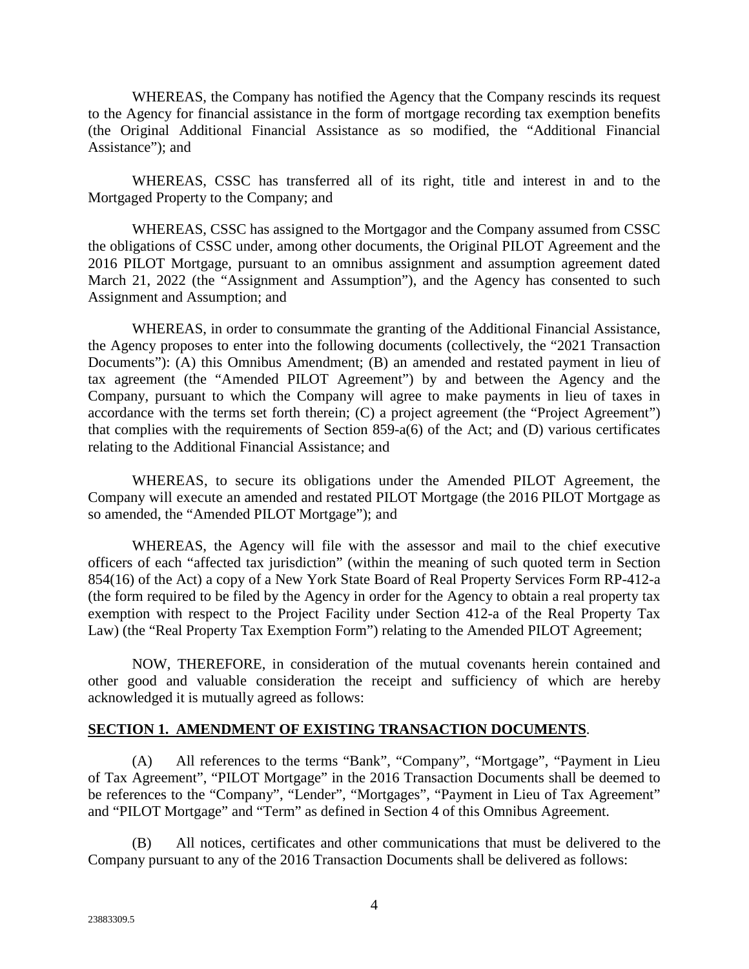WHEREAS, the Company has notified the Agency that the Company rescinds its request to the Agency for financial assistance in the form of mortgage recording tax exemption benefits (the Original Additional Financial Assistance as so modified, the "Additional Financial Assistance"); and

WHEREAS, CSSC has transferred all of its right, title and interest in and to the Mortgaged Property to the Company; and

WHEREAS, CSSC has assigned to the Mortgagor and the Company assumed from CSSC the obligations of CSSC under, among other documents, the Original PILOT Agreement and the 2016 PILOT Mortgage, pursuant to an omnibus assignment and assumption agreement dated March 21, 2022 (the "Assignment and Assumption"), and the Agency has consented to such Assignment and Assumption; and

WHEREAS, in order to consummate the granting of the Additional Financial Assistance, the Agency proposes to enter into the following documents (collectively, the "2021 Transaction Documents"): (A) this Omnibus Amendment; (B) an amended and restated payment in lieu of tax agreement (the "Amended PILOT Agreement") by and between the Agency and the Company, pursuant to which the Company will agree to make payments in lieu of taxes in accordance with the terms set forth therein; (C) a project agreement (the "Project Agreement") that complies with the requirements of Section 859-a(6) of the Act; and (D) various certificates relating to the Additional Financial Assistance; and

WHEREAS, to secure its obligations under the Amended PILOT Agreement, the Company will execute an amended and restated PILOT Mortgage (the 2016 PILOT Mortgage as so amended, the "Amended PILOT Mortgage"); and

WHEREAS, the Agency will file with the assessor and mail to the chief executive officers of each "affected tax jurisdiction" (within the meaning of such quoted term in Section 854(16) of the Act) a copy of a New York State Board of Real Property Services Form RP-412-a (the form required to be filed by the Agency in order for the Agency to obtain a real property tax exemption with respect to the Project Facility under Section 412-a of the Real Property Tax Law) (the "Real Property Tax Exemption Form") relating to the Amended PILOT Agreement;

NOW, THEREFORE, in consideration of the mutual covenants herein contained and other good and valuable consideration the receipt and sufficiency of which are hereby acknowledged it is mutually agreed as follows:

# **SECTION 1. AMENDMENT OF EXISTING TRANSACTION DOCUMENTS**.

(A) All references to the terms "Bank", "Company", "Mortgage", "Payment in Lieu of Tax Agreement", "PILOT Mortgage" in the 2016 Transaction Documents shall be deemed to be references to the "Company", "Lender", "Mortgages", "Payment in Lieu of Tax Agreement" and "PILOT Mortgage" and "Term" as defined in Section 4 of this Omnibus Agreement.

(B) All notices, certificates and other communications that must be delivered to the Company pursuant to any of the 2016 Transaction Documents shall be delivered as follows: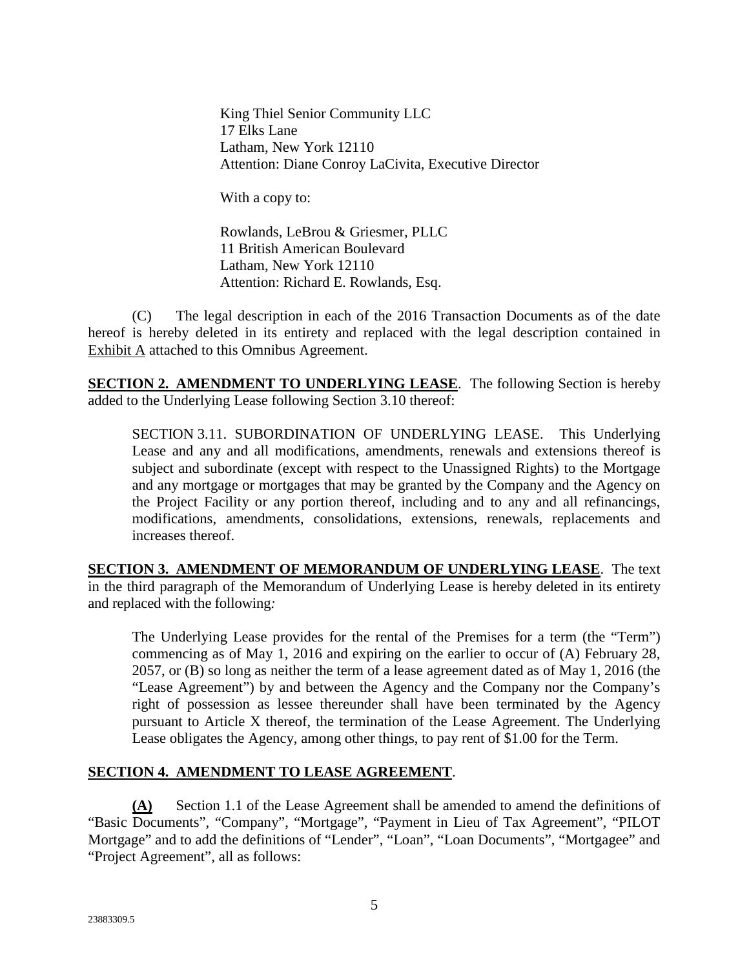King Thiel Senior Community LLC 17 Elks Lane Latham, New York 12110 Attention: Diane Conroy LaCivita, Executive Director

With a copy to:

Rowlands, LeBrou & Griesmer, PLLC 11 British American Boulevard Latham, New York 12110 Attention: Richard E. Rowlands, Esq.

(C) The legal description in each of the 2016 Transaction Documents as of the date hereof is hereby deleted in its entirety and replaced with the legal description contained in Exhibit A attached to this Omnibus Agreement.

**SECTION 2. AMENDMENT TO UNDERLYING LEASE**. The following Section is hereby added to the Underlying Lease following Section 3.10 thereof:

SECTION 3.11. SUBORDINATION OF UNDERLYING LEASE. This Underlying Lease and any and all modifications, amendments, renewals and extensions thereof is subject and subordinate (except with respect to the Unassigned Rights) to the Mortgage and any mortgage or mortgages that may be granted by the Company and the Agency on the Project Facility or any portion thereof, including and to any and all refinancings, modifications, amendments, consolidations, extensions, renewals, replacements and increases thereof.

**SECTION 3. AMENDMENT OF MEMORANDUM OF UNDERLYING LEASE**. The text in the third paragraph of the Memorandum of Underlying Lease is hereby deleted in its entirety and replaced with the following*:*

The Underlying Lease provides for the rental of the Premises for a term (the "Term") commencing as of May 1, 2016 and expiring on the earlier to occur of (A) February 28, 2057, or (B) so long as neither the term of a lease agreement dated as of May 1, 2016 (the "Lease Agreement") by and between the Agency and the Company nor the Company's right of possession as lessee thereunder shall have been terminated by the Agency pursuant to Article X thereof, the termination of the Lease Agreement. The Underlying Lease obligates the Agency, among other things, to pay rent of \$1.00 for the Term.

# **SECTION 4. AMENDMENT TO LEASE AGREEMENT**.

**(A)** Section 1.1 of the Lease Agreement shall be amended to amend the definitions of "Basic Documents", "Company", "Mortgage", "Payment in Lieu of Tax Agreement", "PILOT Mortgage" and to add the definitions of "Lender", "Loan", "Loan Documents", "Mortgagee" and "Project Agreement", all as follows: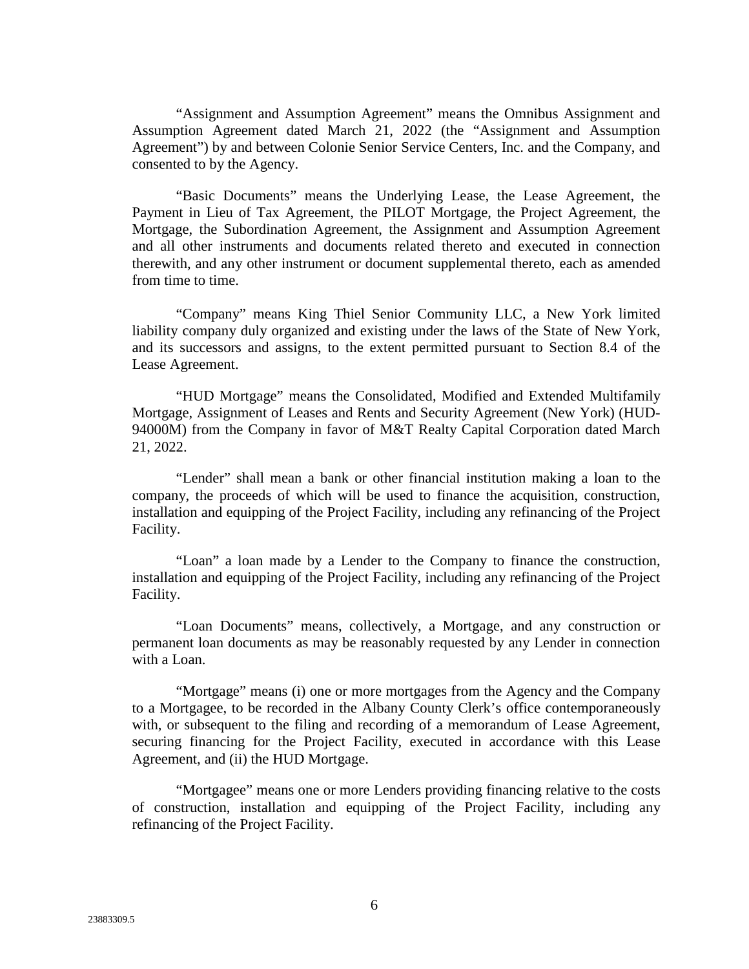"Assignment and Assumption Agreement" means the Omnibus Assignment and Assumption Agreement dated March 21, 2022 (the "Assignment and Assumption Agreement") by and between Colonie Senior Service Centers, Inc. and the Company, and consented to by the Agency.

"Basic Documents" means the Underlying Lease, the Lease Agreement, the Payment in Lieu of Tax Agreement, the PILOT Mortgage, the Project Agreement, the Mortgage, the Subordination Agreement, the Assignment and Assumption Agreement and all other instruments and documents related thereto and executed in connection therewith, and any other instrument or document supplemental thereto, each as amended from time to time.

"Company" means King Thiel Senior Community LLC, a New York limited liability company duly organized and existing under the laws of the State of New York, and its successors and assigns, to the extent permitted pursuant to Section 8.4 of the Lease Agreement.

"HUD Mortgage" means the Consolidated, Modified and Extended Multifamily Mortgage, Assignment of Leases and Rents and Security Agreement (New York) (HUD-94000M) from the Company in favor of M&T Realty Capital Corporation dated March 21, 2022.

"Lender" shall mean a bank or other financial institution making a loan to the company, the proceeds of which will be used to finance the acquisition, construction, installation and equipping of the Project Facility, including any refinancing of the Project Facility.

"Loan" a loan made by a Lender to the Company to finance the construction, installation and equipping of the Project Facility, including any refinancing of the Project Facility.

"Loan Documents" means, collectively, a Mortgage, and any construction or permanent loan documents as may be reasonably requested by any Lender in connection with a Loan.

"Mortgage" means (i) one or more mortgages from the Agency and the Company to a Mortgagee, to be recorded in the Albany County Clerk's office contemporaneously with, or subsequent to the filing and recording of a memorandum of Lease Agreement, securing financing for the Project Facility, executed in accordance with this Lease Agreement, and (ii) the HUD Mortgage.

"Mortgagee" means one or more Lenders providing financing relative to the costs of construction, installation and equipping of the Project Facility, including any refinancing of the Project Facility.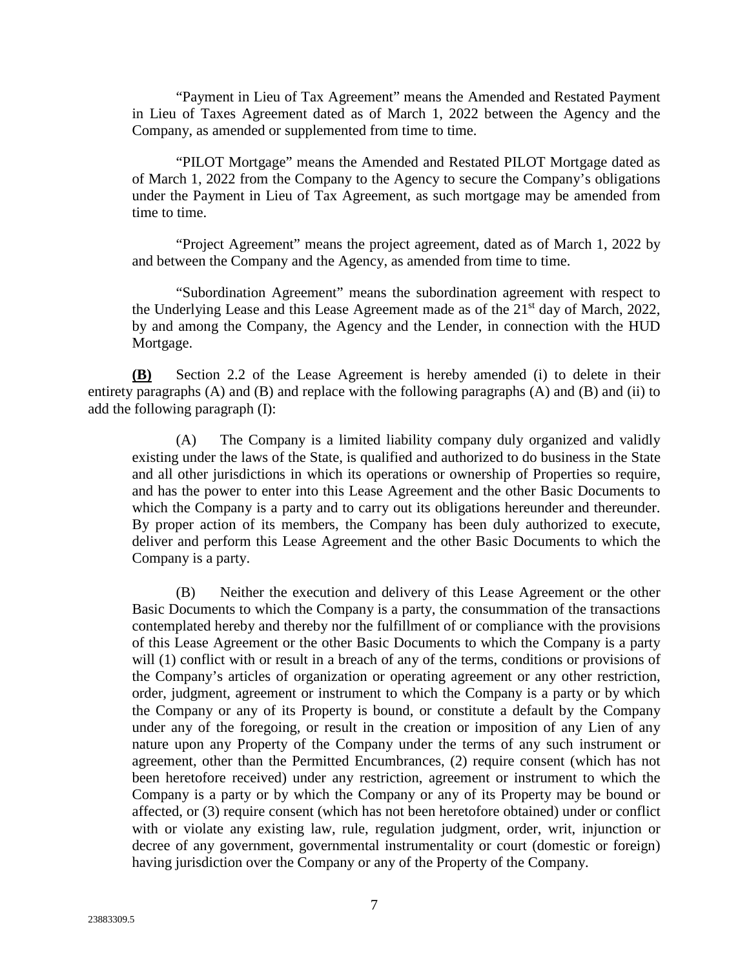"Payment in Lieu of Tax Agreement" means the Amended and Restated Payment in Lieu of Taxes Agreement dated as of March 1, 2022 between the Agency and the Company, as amended or supplemented from time to time.

"PILOT Mortgage" means the Amended and Restated PILOT Mortgage dated as of March 1, 2022 from the Company to the Agency to secure the Company's obligations under the Payment in Lieu of Tax Agreement, as such mortgage may be amended from time to time.

"Project Agreement" means the project agreement, dated as of March 1, 2022 by and between the Company and the Agency, as amended from time to time.

"Subordination Agreement" means the subordination agreement with respect to the Underlying Lease and this Lease Agreement made as of the  $21<sup>st</sup>$  day of March, 2022, by and among the Company, the Agency and the Lender, in connection with the HUD Mortgage.

**(B)** Section 2.2 of the Lease Agreement is hereby amended (i) to delete in their entirety paragraphs (A) and (B) and replace with the following paragraphs (A) and (B) and (ii) to add the following paragraph (I):

(A) The Company is a limited liability company duly organized and validly existing under the laws of the State, is qualified and authorized to do business in the State and all other jurisdictions in which its operations or ownership of Properties so require, and has the power to enter into this Lease Agreement and the other Basic Documents to which the Company is a party and to carry out its obligations hereunder and thereunder. By proper action of its members, the Company has been duly authorized to execute, deliver and perform this Lease Agreement and the other Basic Documents to which the Company is a party.

(B) Neither the execution and delivery of this Lease Agreement or the other Basic Documents to which the Company is a party, the consummation of the transactions contemplated hereby and thereby nor the fulfillment of or compliance with the provisions of this Lease Agreement or the other Basic Documents to which the Company is a party will (1) conflict with or result in a breach of any of the terms, conditions or provisions of the Company's articles of organization or operating agreement or any other restriction, order, judgment, agreement or instrument to which the Company is a party or by which the Company or any of its Property is bound, or constitute a default by the Company under any of the foregoing, or result in the creation or imposition of any Lien of any nature upon any Property of the Company under the terms of any such instrument or agreement, other than the Permitted Encumbrances, (2) require consent (which has not been heretofore received) under any restriction, agreement or instrument to which the Company is a party or by which the Company or any of its Property may be bound or affected, or (3) require consent (which has not been heretofore obtained) under or conflict with or violate any existing law, rule, regulation judgment, order, writ, injunction or decree of any government, governmental instrumentality or court (domestic or foreign) having jurisdiction over the Company or any of the Property of the Company.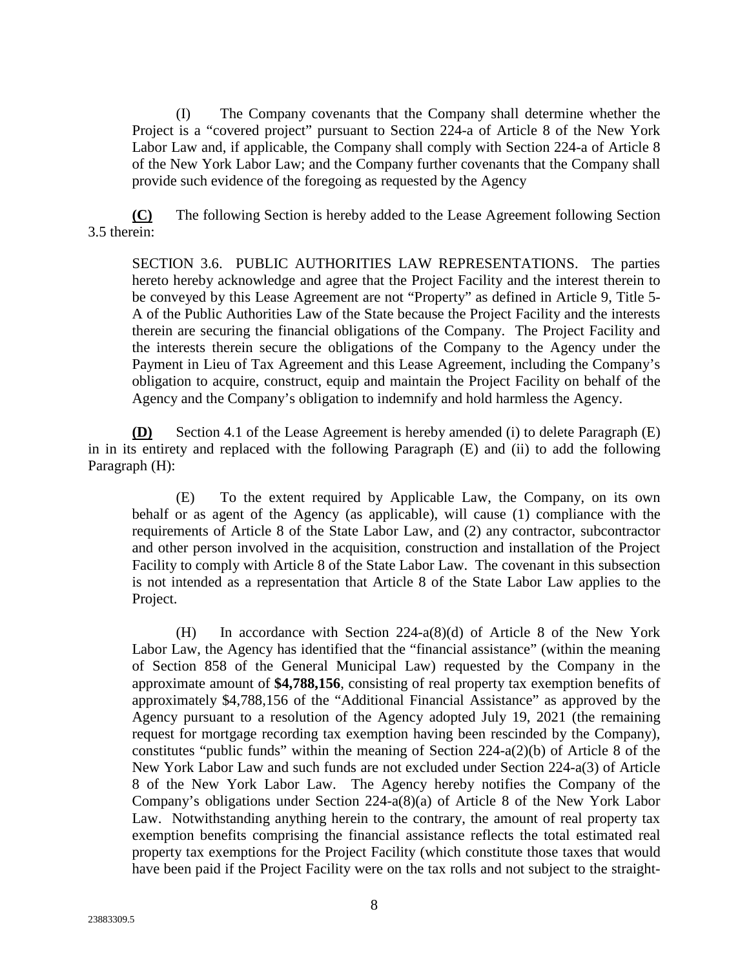(I) The Company covenants that the Company shall determine whether the Project is a "covered project" pursuant to Section 224-a of Article 8 of the New York Labor Law and, if applicable, the Company shall comply with Section 224-a of Article 8 of the New York Labor Law; and the Company further covenants that the Company shall provide such evidence of the foregoing as requested by the Agency

**(C)** The following Section is hereby added to the Lease Agreement following Section 3.5 therein:

SECTION 3.6. PUBLIC AUTHORITIES LAW REPRESENTATIONS. The parties hereto hereby acknowledge and agree that the Project Facility and the interest therein to be conveyed by this Lease Agreement are not "Property" as defined in Article 9, Title 5- A of the Public Authorities Law of the State because the Project Facility and the interests therein are securing the financial obligations of the Company. The Project Facility and the interests therein secure the obligations of the Company to the Agency under the Payment in Lieu of Tax Agreement and this Lease Agreement, including the Company's obligation to acquire, construct, equip and maintain the Project Facility on behalf of the Agency and the Company's obligation to indemnify and hold harmless the Agency.

**(D)** Section 4.1 of the Lease Agreement is hereby amended (i) to delete Paragraph (E) in in its entirety and replaced with the following Paragraph (E) and (ii) to add the following Paragraph (H):

(E) To the extent required by Applicable Law, the Company, on its own behalf or as agent of the Agency (as applicable), will cause (1) compliance with the requirements of Article 8 of the State Labor Law, and (2) any contractor, subcontractor and other person involved in the acquisition, construction and installation of the Project Facility to comply with Article 8 of the State Labor Law. The covenant in this subsection is not intended as a representation that Article 8 of the State Labor Law applies to the Project.

(H) In accordance with Section 224-a(8)(d) of Article 8 of the New York Labor Law, the Agency has identified that the "financial assistance" (within the meaning of Section 858 of the General Municipal Law) requested by the Company in the approximate amount of **\$4,788,156**, consisting of real property tax exemption benefits of approximately \$4,788,156 of the "Additional Financial Assistance" as approved by the Agency pursuant to a resolution of the Agency adopted July 19, 2021 (the remaining request for mortgage recording tax exemption having been rescinded by the Company), constitutes "public funds" within the meaning of Section 224-a(2)(b) of Article 8 of the New York Labor Law and such funds are not excluded under Section 224-a(3) of Article 8 of the New York Labor Law. The Agency hereby notifies the Company of the Company's obligations under Section 224-a(8)(a) of Article 8 of the New York Labor Law. Notwithstanding anything herein to the contrary, the amount of real property tax exemption benefits comprising the financial assistance reflects the total estimated real property tax exemptions for the Project Facility (which constitute those taxes that would have been paid if the Project Facility were on the tax rolls and not subject to the straight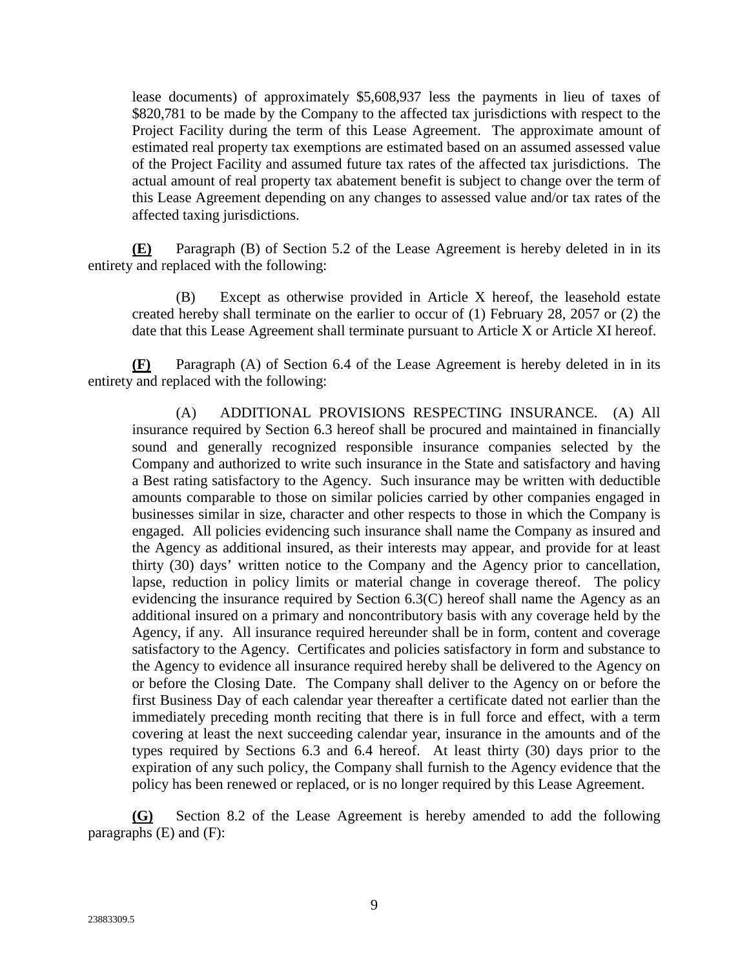lease documents) of approximately \$5,608,937 less the payments in lieu of taxes of \$820,781 to be made by the Company to the affected tax jurisdictions with respect to the Project Facility during the term of this Lease Agreement. The approximate amount of estimated real property tax exemptions are estimated based on an assumed assessed value of the Project Facility and assumed future tax rates of the affected tax jurisdictions. The actual amount of real property tax abatement benefit is subject to change over the term of this Lease Agreement depending on any changes to assessed value and/or tax rates of the affected taxing jurisdictions.

**(E)** Paragraph (B) of Section 5.2 of the Lease Agreement is hereby deleted in in its entirety and replaced with the following:

(B) Except as otherwise provided in Article X hereof, the leasehold estate created hereby shall terminate on the earlier to occur of (1) February 28, 2057 or (2) the date that this Lease Agreement shall terminate pursuant to Article X or Article XI hereof.

**(F)** Paragraph (A) of Section 6.4 of the Lease Agreement is hereby deleted in in its entirety and replaced with the following:

(A) ADDITIONAL PROVISIONS RESPECTING INSURANCE. (A) All insurance required by Section 6.3 hereof shall be procured and maintained in financially sound and generally recognized responsible insurance companies selected by the Company and authorized to write such insurance in the State and satisfactory and having a Best rating satisfactory to the Agency. Such insurance may be written with deductible amounts comparable to those on similar policies carried by other companies engaged in businesses similar in size, character and other respects to those in which the Company is engaged. All policies evidencing such insurance shall name the Company as insured and the Agency as additional insured, as their interests may appear, and provide for at least thirty (30) days' written notice to the Company and the Agency prior to cancellation, lapse, reduction in policy limits or material change in coverage thereof. The policy evidencing the insurance required by Section 6.3(C) hereof shall name the Agency as an additional insured on a primary and noncontributory basis with any coverage held by the Agency, if any. All insurance required hereunder shall be in form, content and coverage satisfactory to the Agency. Certificates and policies satisfactory in form and substance to the Agency to evidence all insurance required hereby shall be delivered to the Agency on or before the Closing Date. The Company shall deliver to the Agency on or before the first Business Day of each calendar year thereafter a certificate dated not earlier than the immediately preceding month reciting that there is in full force and effect, with a term covering at least the next succeeding calendar year, insurance in the amounts and of the types required by Sections 6.3 and 6.4 hereof. At least thirty (30) days prior to the expiration of any such policy, the Company shall furnish to the Agency evidence that the policy has been renewed or replaced, or is no longer required by this Lease Agreement.

**(G)** Section 8.2 of the Lease Agreement is hereby amended to add the following paragraphs (E) and (F):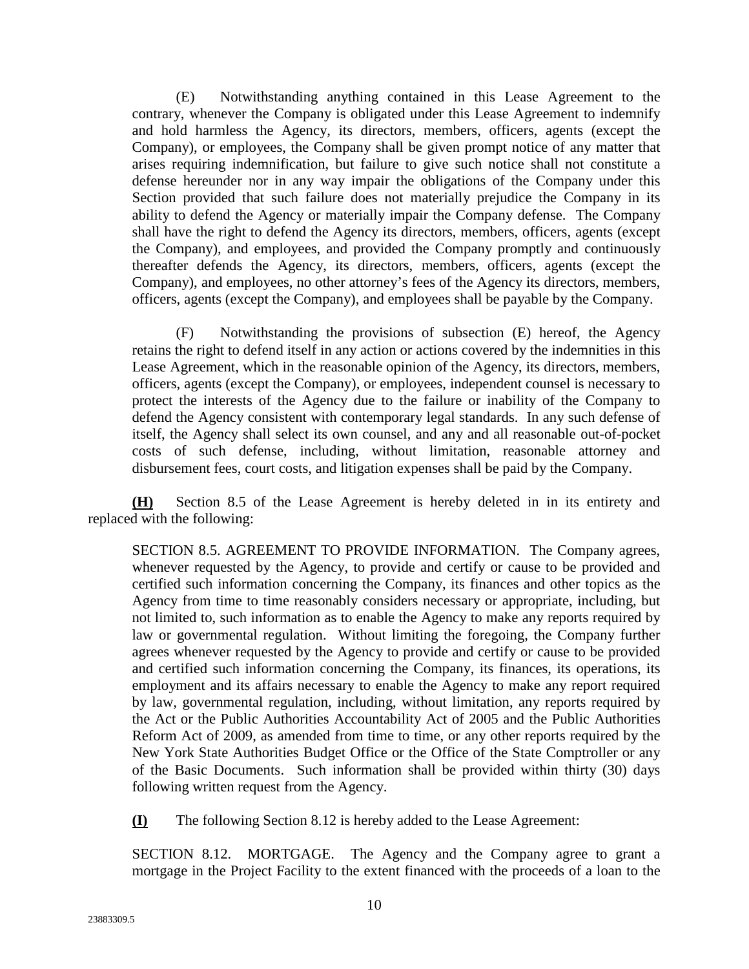(E) Notwithstanding anything contained in this Lease Agreement to the contrary, whenever the Company is obligated under this Lease Agreement to indemnify and hold harmless the Agency, its directors, members, officers, agents (except the Company), or employees, the Company shall be given prompt notice of any matter that arises requiring indemnification, but failure to give such notice shall not constitute a defense hereunder nor in any way impair the obligations of the Company under this Section provided that such failure does not materially prejudice the Company in its ability to defend the Agency or materially impair the Company defense. The Company shall have the right to defend the Agency its directors, members, officers, agents (except the Company), and employees, and provided the Company promptly and continuously thereafter defends the Agency, its directors, members, officers, agents (except the Company), and employees, no other attorney's fees of the Agency its directors, members, officers, agents (except the Company), and employees shall be payable by the Company.

(F) Notwithstanding the provisions of subsection (E) hereof, the Agency retains the right to defend itself in any action or actions covered by the indemnities in this Lease Agreement, which in the reasonable opinion of the Agency, its directors, members, officers, agents (except the Company), or employees, independent counsel is necessary to protect the interests of the Agency due to the failure or inability of the Company to defend the Agency consistent with contemporary legal standards. In any such defense of itself, the Agency shall select its own counsel, and any and all reasonable out-of-pocket costs of such defense, including, without limitation, reasonable attorney and disbursement fees, court costs, and litigation expenses shall be paid by the Company.

**(H)** Section 8.5 of the Lease Agreement is hereby deleted in in its entirety and replaced with the following:

SECTION 8.5. AGREEMENT TO PROVIDE INFORMATION. The Company agrees, whenever requested by the Agency, to provide and certify or cause to be provided and certified such information concerning the Company, its finances and other topics as the Agency from time to time reasonably considers necessary or appropriate, including, but not limited to, such information as to enable the Agency to make any reports required by law or governmental regulation. Without limiting the foregoing, the Company further agrees whenever requested by the Agency to provide and certify or cause to be provided and certified such information concerning the Company, its finances, its operations, its employment and its affairs necessary to enable the Agency to make any report required by law, governmental regulation, including, without limitation, any reports required by the Act or the Public Authorities Accountability Act of 2005 and the Public Authorities Reform Act of 2009, as amended from time to time, or any other reports required by the New York State Authorities Budget Office or the Office of the State Comptroller or any of the Basic Documents. Such information shall be provided within thirty (30) days following written request from the Agency.

**(I)** The following Section 8.12 is hereby added to the Lease Agreement:

SECTION 8.12. MORTGAGE. The Agency and the Company agree to grant a mortgage in the Project Facility to the extent financed with the proceeds of a loan to the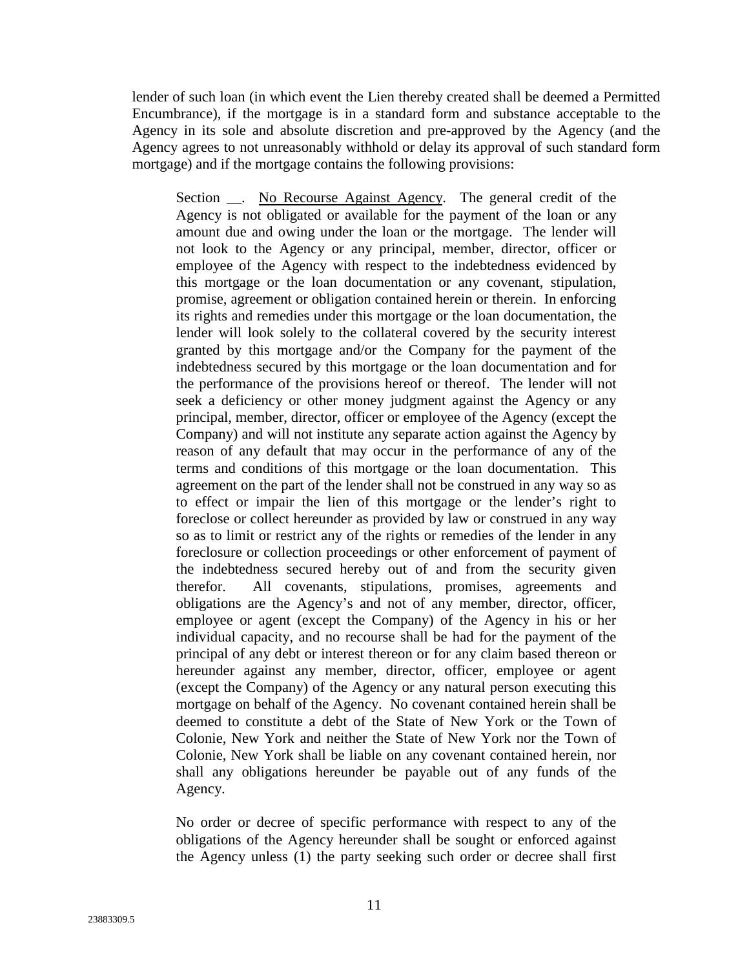lender of such loan (in which event the Lien thereby created shall be deemed a Permitted Encumbrance), if the mortgage is in a standard form and substance acceptable to the Agency in its sole and absolute discretion and pre-approved by the Agency (and the Agency agrees to not unreasonably withhold or delay its approval of such standard form mortgage) and if the mortgage contains the following provisions:

Section \_\_. No Recourse Against Agency. The general credit of the Agency is not obligated or available for the payment of the loan or any amount due and owing under the loan or the mortgage. The lender will not look to the Agency or any principal, member, director, officer or employee of the Agency with respect to the indebtedness evidenced by this mortgage or the loan documentation or any covenant, stipulation, promise, agreement or obligation contained herein or therein. In enforcing its rights and remedies under this mortgage or the loan documentation, the lender will look solely to the collateral covered by the security interest granted by this mortgage and/or the Company for the payment of the indebtedness secured by this mortgage or the loan documentation and for the performance of the provisions hereof or thereof. The lender will not seek a deficiency or other money judgment against the Agency or any principal, member, director, officer or employee of the Agency (except the Company) and will not institute any separate action against the Agency by reason of any default that may occur in the performance of any of the terms and conditions of this mortgage or the loan documentation. This agreement on the part of the lender shall not be construed in any way so as to effect or impair the lien of this mortgage or the lender's right to foreclose or collect hereunder as provided by law or construed in any way so as to limit or restrict any of the rights or remedies of the lender in any foreclosure or collection proceedings or other enforcement of payment of the indebtedness secured hereby out of and from the security given therefor. All covenants, stipulations, promises, agreements and obligations are the Agency's and not of any member, director, officer, employee or agent (except the Company) of the Agency in his or her individual capacity, and no recourse shall be had for the payment of the principal of any debt or interest thereon or for any claim based thereon or hereunder against any member, director, officer, employee or agent (except the Company) of the Agency or any natural person executing this mortgage on behalf of the Agency. No covenant contained herein shall be deemed to constitute a debt of the State of New York or the Town of Colonie, New York and neither the State of New York nor the Town of Colonie, New York shall be liable on any covenant contained herein, nor shall any obligations hereunder be payable out of any funds of the Agency.

No order or decree of specific performance with respect to any of the obligations of the Agency hereunder shall be sought or enforced against the Agency unless (1) the party seeking such order or decree shall first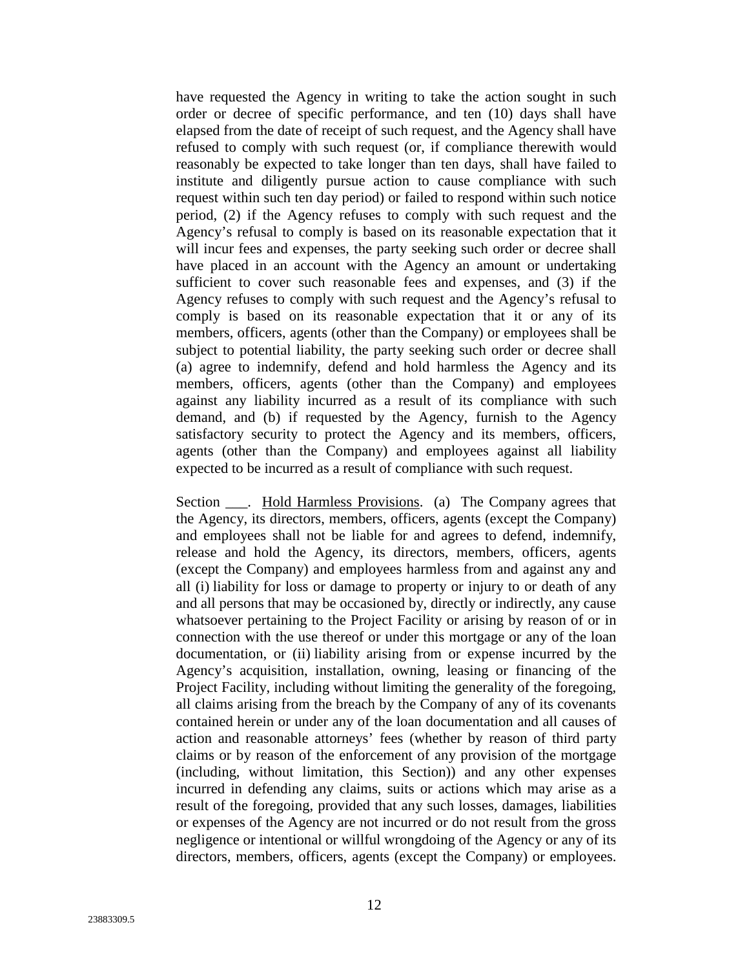have requested the Agency in writing to take the action sought in such order or decree of specific performance, and ten (10) days shall have elapsed from the date of receipt of such request, and the Agency shall have refused to comply with such request (or, if compliance therewith would reasonably be expected to take longer than ten days, shall have failed to institute and diligently pursue action to cause compliance with such request within such ten day period) or failed to respond within such notice period, (2) if the Agency refuses to comply with such request and the Agency's refusal to comply is based on its reasonable expectation that it will incur fees and expenses, the party seeking such order or decree shall have placed in an account with the Agency an amount or undertaking sufficient to cover such reasonable fees and expenses, and (3) if the Agency refuses to comply with such request and the Agency's refusal to comply is based on its reasonable expectation that it or any of its members, officers, agents (other than the Company) or employees shall be subject to potential liability, the party seeking such order or decree shall (a) agree to indemnify, defend and hold harmless the Agency and its members, officers, agents (other than the Company) and employees against any liability incurred as a result of its compliance with such demand, and (b) if requested by the Agency, furnish to the Agency satisfactory security to protect the Agency and its members, officers, agents (other than the Company) and employees against all liability expected to be incurred as a result of compliance with such request.

Section \_\_\_. Hold Harmless Provisions. (a) The Company agrees that the Agency, its directors, members, officers, agents (except the Company) and employees shall not be liable for and agrees to defend, indemnify, release and hold the Agency, its directors, members, officers, agents (except the Company) and employees harmless from and against any and all (i) liability for loss or damage to property or injury to or death of any and all persons that may be occasioned by, directly or indirectly, any cause whatsoever pertaining to the Project Facility or arising by reason of or in connection with the use thereof or under this mortgage or any of the loan documentation, or (ii) liability arising from or expense incurred by the Agency's acquisition, installation, owning, leasing or financing of the Project Facility, including without limiting the generality of the foregoing, all claims arising from the breach by the Company of any of its covenants contained herein or under any of the loan documentation and all causes of action and reasonable attorneys' fees (whether by reason of third party claims or by reason of the enforcement of any provision of the mortgage (including, without limitation, this Section)) and any other expenses incurred in defending any claims, suits or actions which may arise as a result of the foregoing, provided that any such losses, damages, liabilities or expenses of the Agency are not incurred or do not result from the gross negligence or intentional or willful wrongdoing of the Agency or any of its directors, members, officers, agents (except the Company) or employees.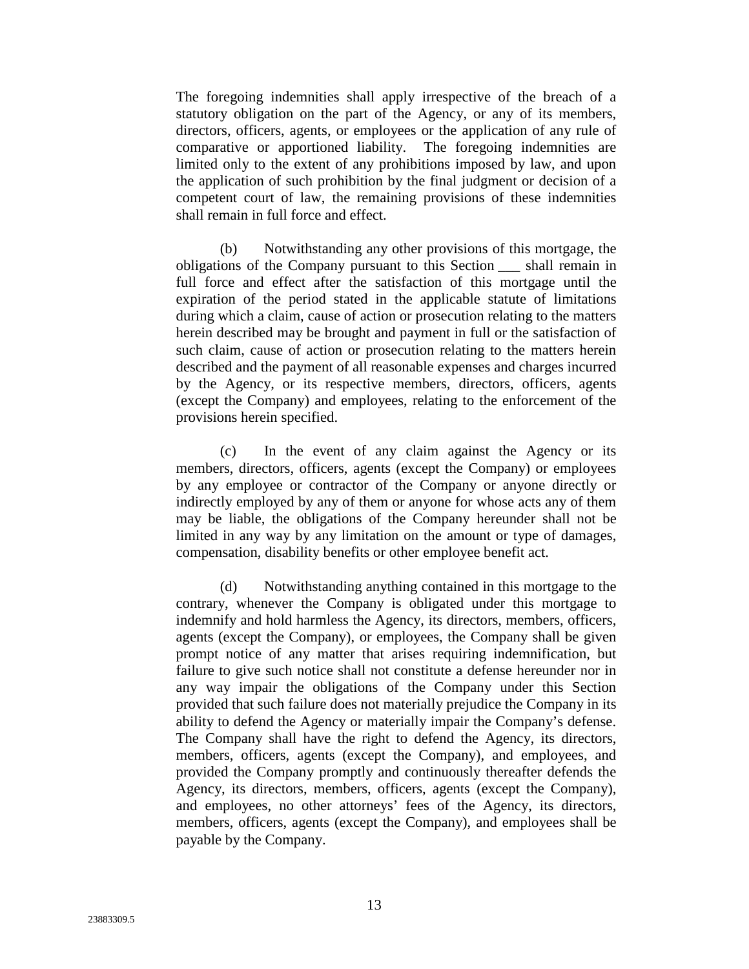The foregoing indemnities shall apply irrespective of the breach of a statutory obligation on the part of the Agency, or any of its members, directors, officers, agents, or employees or the application of any rule of comparative or apportioned liability. The foregoing indemnities are limited only to the extent of any prohibitions imposed by law, and upon the application of such prohibition by the final judgment or decision of a competent court of law, the remaining provisions of these indemnities shall remain in full force and effect.

(b) Notwithstanding any other provisions of this mortgage, the obligations of the Company pursuant to this Section \_\_\_ shall remain in full force and effect after the satisfaction of this mortgage until the expiration of the period stated in the applicable statute of limitations during which a claim, cause of action or prosecution relating to the matters herein described may be brought and payment in full or the satisfaction of such claim, cause of action or prosecution relating to the matters herein described and the payment of all reasonable expenses and charges incurred by the Agency, or its respective members, directors, officers, agents (except the Company) and employees, relating to the enforcement of the provisions herein specified.

(c) In the event of any claim against the Agency or its members, directors, officers, agents (except the Company) or employees by any employee or contractor of the Company or anyone directly or indirectly employed by any of them or anyone for whose acts any of them may be liable, the obligations of the Company hereunder shall not be limited in any way by any limitation on the amount or type of damages, compensation, disability benefits or other employee benefit act.

(d) Notwithstanding anything contained in this mortgage to the contrary, whenever the Company is obligated under this mortgage to indemnify and hold harmless the Agency, its directors, members, officers, agents (except the Company), or employees, the Company shall be given prompt notice of any matter that arises requiring indemnification, but failure to give such notice shall not constitute a defense hereunder nor in any way impair the obligations of the Company under this Section provided that such failure does not materially prejudice the Company in its ability to defend the Agency or materially impair the Company's defense. The Company shall have the right to defend the Agency, its directors, members, officers, agents (except the Company), and employees, and provided the Company promptly and continuously thereafter defends the Agency, its directors, members, officers, agents (except the Company), and employees, no other attorneys' fees of the Agency, its directors, members, officers, agents (except the Company), and employees shall be payable by the Company.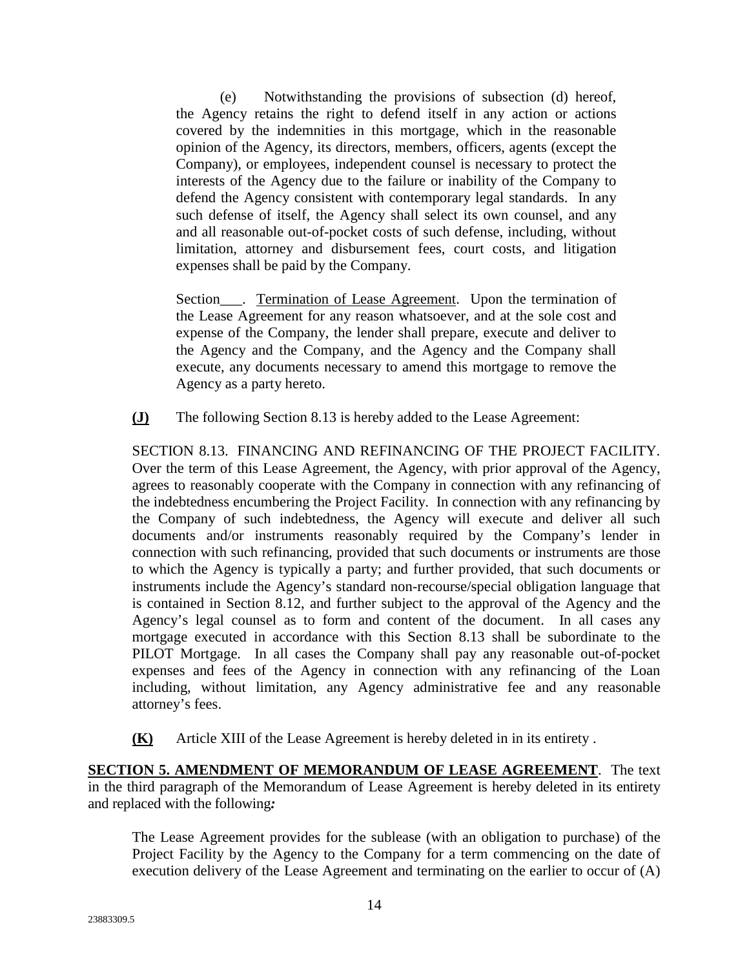(e) Notwithstanding the provisions of subsection (d) hereof, the Agency retains the right to defend itself in any action or actions covered by the indemnities in this mortgage, which in the reasonable opinion of the Agency, its directors, members, officers, agents (except the Company), or employees, independent counsel is necessary to protect the interests of the Agency due to the failure or inability of the Company to defend the Agency consistent with contemporary legal standards. In any such defense of itself, the Agency shall select its own counsel, and any and all reasonable out-of-pocket costs of such defense, including, without limitation, attorney and disbursement fees, court costs, and litigation expenses shall be paid by the Company.

Section\_\_\_\_. Termination of Lease Agreement. Upon the termination of the Lease Agreement for any reason whatsoever, and at the sole cost and expense of the Company, the lender shall prepare, execute and deliver to the Agency and the Company, and the Agency and the Company shall execute, any documents necessary to amend this mortgage to remove the Agency as a party hereto.

**(J)** The following Section 8.13 is hereby added to the Lease Agreement:

SECTION 8.13. FINANCING AND REFINANCING OF THE PROJECT FACILITY. Over the term of this Lease Agreement, the Agency, with prior approval of the Agency, agrees to reasonably cooperate with the Company in connection with any refinancing of the indebtedness encumbering the Project Facility. In connection with any refinancing by the Company of such indebtedness, the Agency will execute and deliver all such documents and/or instruments reasonably required by the Company's lender in connection with such refinancing, provided that such documents or instruments are those to which the Agency is typically a party; and further provided, that such documents or instruments include the Agency's standard non-recourse/special obligation language that is contained in Section 8.12, and further subject to the approval of the Agency and the Agency's legal counsel as to form and content of the document. In all cases any mortgage executed in accordance with this Section 8.13 shall be subordinate to the PILOT Mortgage. In all cases the Company shall pay any reasonable out-of-pocket expenses and fees of the Agency in connection with any refinancing of the Loan including, without limitation, any Agency administrative fee and any reasonable attorney's fees.

**(K)** Article XIII of the Lease Agreement is hereby deleted in in its entirety .

**SECTION 5. AMENDMENT OF MEMORANDUM OF LEASE AGREEMENT**. The text in the third paragraph of the Memorandum of Lease Agreement is hereby deleted in its entirety and replaced with the following*:* 

The Lease Agreement provides for the sublease (with an obligation to purchase) of the Project Facility by the Agency to the Company for a term commencing on the date of execution delivery of the Lease Agreement and terminating on the earlier to occur of (A)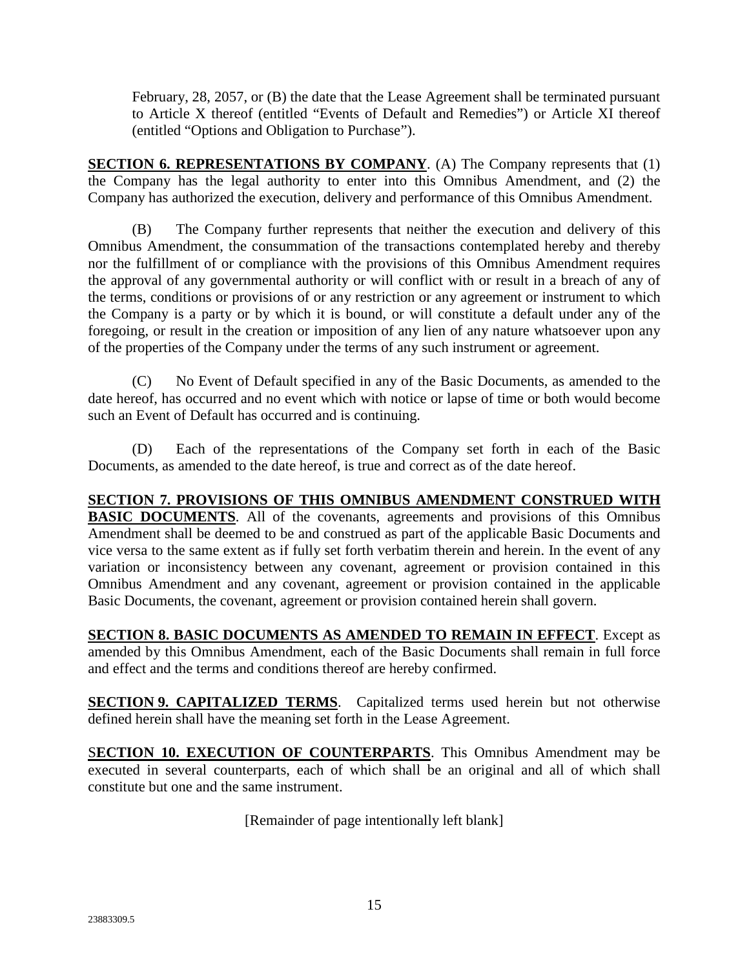February, 28, 2057, or (B) the date that the Lease Agreement shall be terminated pursuant to Article X thereof (entitled "Events of Default and Remedies") or Article XI thereof (entitled "Options and Obligation to Purchase").

**SECTION 6. REPRESENTATIONS BY COMPANY.** (A) The Company represents that (1) the Company has the legal authority to enter into this Omnibus Amendment, and (2) the Company has authorized the execution, delivery and performance of this Omnibus Amendment.

(B) The Company further represents that neither the execution and delivery of this Omnibus Amendment, the consummation of the transactions contemplated hereby and thereby nor the fulfillment of or compliance with the provisions of this Omnibus Amendment requires the approval of any governmental authority or will conflict with or result in a breach of any of the terms, conditions or provisions of or any restriction or any agreement or instrument to which the Company is a party or by which it is bound, or will constitute a default under any of the foregoing, or result in the creation or imposition of any lien of any nature whatsoever upon any of the properties of the Company under the terms of any such instrument or agreement.

(C) No Event of Default specified in any of the Basic Documents, as amended to the date hereof, has occurred and no event which with notice or lapse of time or both would become such an Event of Default has occurred and is continuing.

(D) Each of the representations of the Company set forth in each of the Basic Documents, as amended to the date hereof, is true and correct as of the date hereof.

**SECTION 7. PROVISIONS OF THIS OMNIBUS AMENDMENT CONSTRUED WITH BASIC DOCUMENTS**. All of the covenants, agreements and provisions of this Omnibus Amendment shall be deemed to be and construed as part of the applicable Basic Documents and vice versa to the same extent as if fully set forth verbatim therein and herein. In the event of any variation or inconsistency between any covenant, agreement or provision contained in this Omnibus Amendment and any covenant, agreement or provision contained in the applicable Basic Documents, the covenant, agreement or provision contained herein shall govern.

**SECTION 8. BASIC DOCUMENTS AS AMENDED TO REMAIN IN EFFECT**. Except as amended by this Omnibus Amendment, each of the Basic Documents shall remain in full force and effect and the terms and conditions thereof are hereby confirmed.

**SECTION 9. CAPITALIZED TERMS**. Capitalized terms used herein but not otherwise defined herein shall have the meaning set forth in the Lease Agreement.

S**ECTION 10. EXECUTION OF COUNTERPARTS**. This Omnibus Amendment may be executed in several counterparts, each of which shall be an original and all of which shall constitute but one and the same instrument.

[Remainder of page intentionally left blank]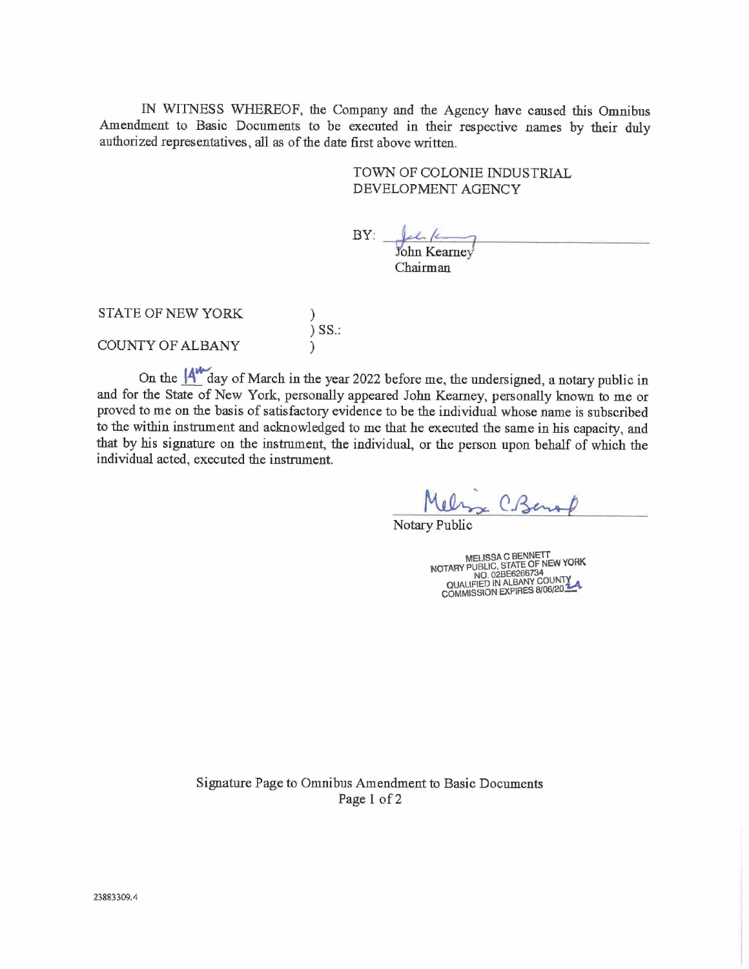IN WITNESS WHEREOF, the Company and the Agency have caused this Omnibus Amendment to Basic Documents to be executed in their respective names by their duly authorized representatives, all as of the date first above written.

## TOWN OF COLONIE INDUSTRIAL DEVELOPMENT AGENCY

BY: ohn Kearney Chairman

STATE OF NEW YORK  $\int$  SS.: COUNTY OF ALBANY

On the  $\mathbf{A}^{\prime\prime}$  day of March in the year 2022 before me, the undersigned, a notary public in and for the State of New York, personally appeared John Kearney, personally known to me or proved to me on the basis of satisfactory evidence to be the individual whose name is subscribed to the within instrument and acknowledged to me that he executed the same in his capacity, and that by his signature on the instrument, the individual, or the person upon behalf of which the individual acted, executed the instrument.

Melina C. Benal

Notary Public

MELISSA C BENNETT<br>NOTARY PUBLIC, STATE OF NEW YORK<br>NO. 028E6266734<br>QUALIFIED IN ALBANY COUNTY<br>COMMISSION EXPIRES 8/06/20:34

Signature Page to Omnibus Amendment to Basic Documents Page 1 of 2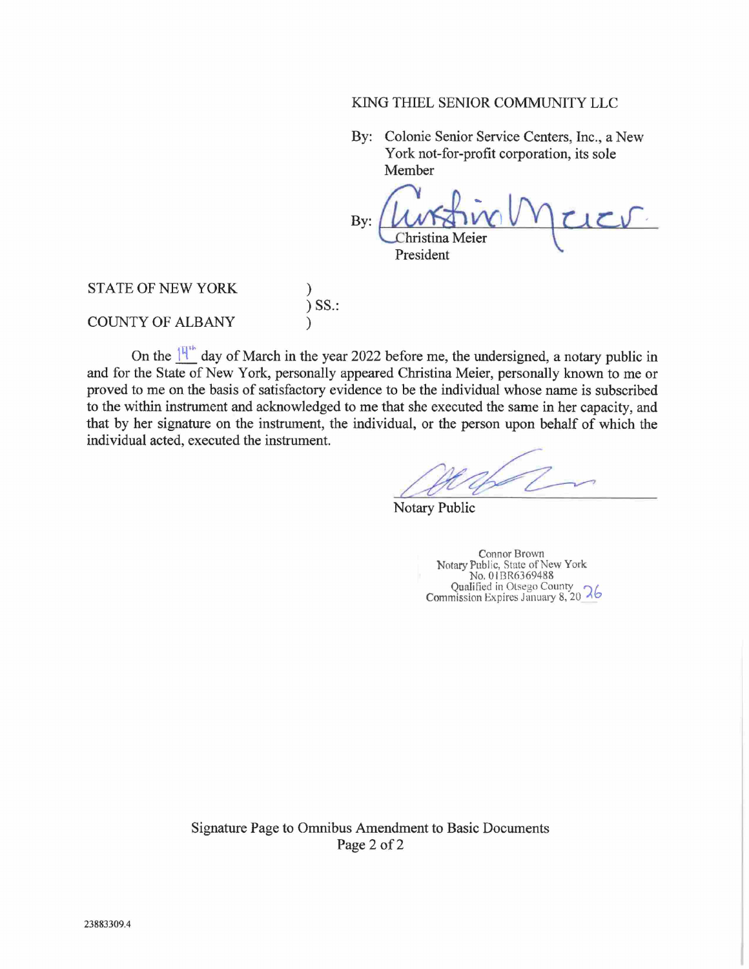## KING THIEL SENIOR COMMUNITY LLC

By: Colonie Senior Service Centers, Inc., a New York not-for-profit corporation, its sole Member

By:  $vc$ 'hristina Meier President

STATE OF NEW YORK ) SS.: COUNTY OF ALBANY

On the  $14^{\text{th}}$  day of March in the year 2022 before me, the undersigned, a notary public in and for the State of New York, personally appeared Christina Meier, personally known to me or proved to me on the basis of satisfactory evidence to be the individual whose name is subscribed to the within instrument and acknowledged to me that she executed the same in her capacity, and that by her signature on the instrument, the individual, or the person upon behalf of which the individual acted, executed the instrument.

Notary Public

Connor Brown Notary Public, State of New York No. 01I3R6369488 Qualified in Otsego County Commission Expires January 8, 20 26

Signature Page to Omnibus Amendment to Basic Documents Page 2 of 2